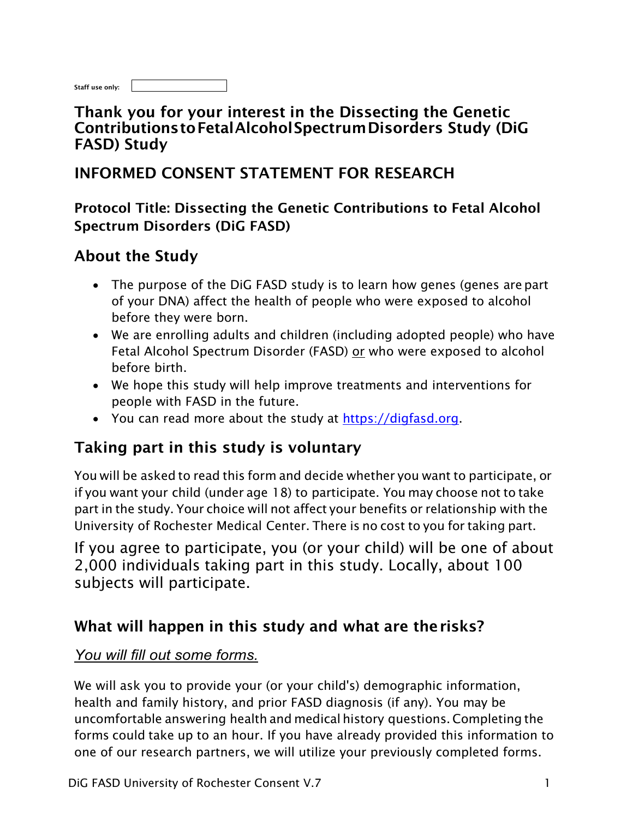| Staff use only: |  |
|-----------------|--|
|                 |  |

### Thank you for your interest in the Dissecting the Genetic ContributionstoFetalAlcoholSpectrumDisorders Study (DiG FASD) Study

## INFORMED CONSENT STATEMENT FOR RESEARCH

Protocol Title: Dissecting the Genetic Contributions to Fetal Alcohol Spectrum Disorders (DiG FASD)

## About the Study

- The purpose of the DiG FASD study is to learn how genes (genes are part of your DNA) affect the health of people who were exposed to alcohol before they were born.
- We are enrolling adults and children (including adopted people) who have Fetal Alcohol Spectrum Disorder (FASD) or who were exposed to alcohol before birth.
- We hope this study will help improve treatments and interventions for people with FASD in the future.
- You can read more about the study at https://digfasd.org.

## Taking part in this study is voluntary

You will be asked to read this form and decide whether you want to participate, or if you want your child (under age 18) to participate. You may choose not to take part in the study. Your choice will not affect your benefits or relationship with the University of Rochester Medical Center. There is no cost to you for taking part.

If you agree to participate, you (or your child) will be one of about 2,000 individuals taking part in this study. Locally, about 100 subjects will participate.

## What will happen in this study and what are therisks?

### *You will fill out some forms.*

We will ask you to provide your (or your child's) demographic information, health and family history, and prior FASD diagnosis (if any). You may be uncomfortable answering health and medical history questions. Completing the forms could take up to an hour. If you have already provided this information to one of our research partners, we will utilize your previously completed forms.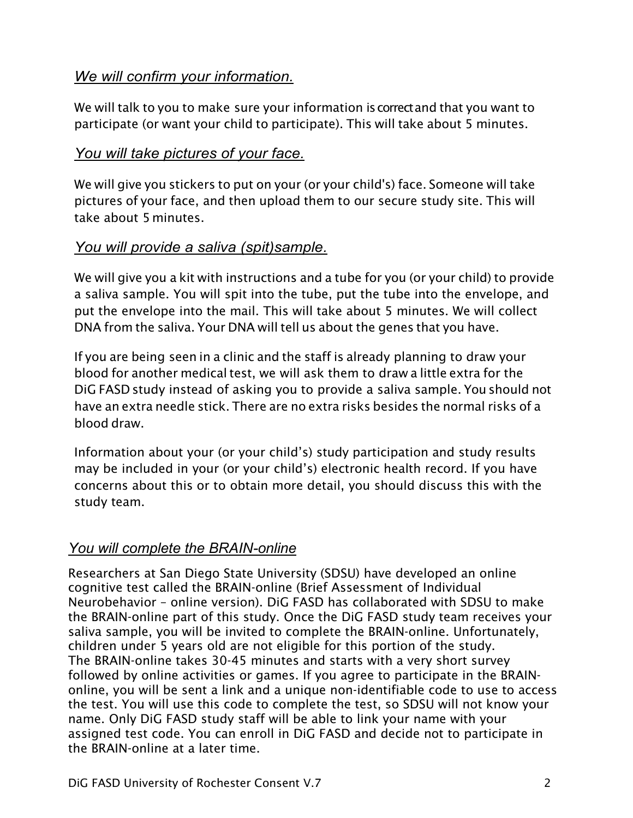#### *We will confirm your information.*

We will talk to you to make sure your information iscorrectand that you want to participate (or want your child to participate). This will take about 5 minutes.

#### *You will take pictures of your face.*

We will give you stickers to put on your (or your child's) face. Someone will take pictures of your face, and then upload them to our secure study site. This will take about 5 minutes.

#### *You will provide a saliva (spit)sample.*

We will give you a kit with instructions and a tube for you (or your child) to provide a saliva sample. You will spit into the tube, put the tube into the envelope, and put the envelope into the mail. This will take about 5 minutes. We will collect DNA from the saliva. Your DNA will tell us about the genes that you have.

If you are being seen in a clinic and the staff is already planning to draw your blood for another medical test, we will ask them to draw a little extra for the DiG FASD study instead of asking you to provide a saliva sample. You should not have an extra needle stick. There are no extra risks besides the normal risks of a blood draw.

Information about your (or your child's) study participation and study results may be included in your (or your child's) electronic health record. If you have concerns about this or to obtain more detail, you should discuss this with the study team.

### *You will complete the BRAIN-online*

Researchers at San Diego State University (SDSU) have developed an online cognitive test called the BRAIN-online (Brief Assessment of Individual Neurobehavior – online version). DiG FASD has collaborated with SDSU to make the BRAIN-online part of this study. Once the DiG FASD study team receives your saliva sample, you will be invited to complete the BRAIN-online. Unfortunately, children under 5 years old are not eligible for this portion of the study. The BRAIN-online takes 30-45 minutes and starts with a very short survey followed by online activities or games. If you agree to participate in the BRAINonline, you will be sent a link and a unique non-identifiable code to use to access the test. You will use this code to complete the test, so SDSU will not know your name. Only DiG FASD study staff will be able to link your name with your assigned test code. You can enroll in DiG FASD and decide not to participate in the BRAIN-online at a later time.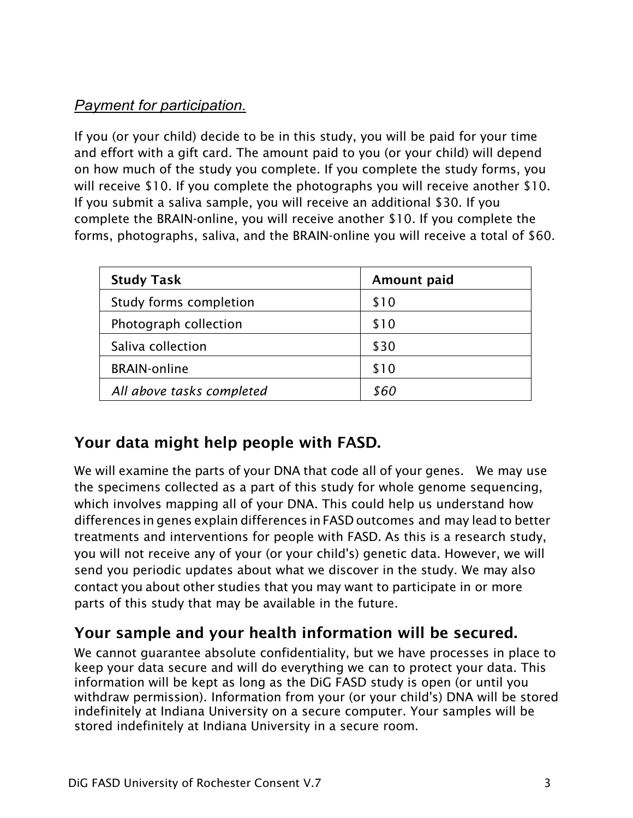## *Payment for participation.*

If you (or your child) decide to be in this study, you will be paid for your time and effort with a gift card. The amount paid to you (or your child) will depend on how much of the study you complete. If you complete the study forms, you will receive \$10. If you complete the photographs you will receive another \$10. If you submit a saliva sample, you will receive an additional \$30. If you complete the BRAIN-online, you will receive another \$10. If you complete the forms, photographs, saliva, and the BRAIN-online you will receive a total of \$60.

| <b>Study Task</b>         | Amount paid |
|---------------------------|-------------|
| Study forms completion    | \$10        |
| Photograph collection     | \$10        |
| Saliva collection         | \$30        |
| <b>BRAIN-online</b>       | \$10        |
| All above tasks completed | 860         |

# Your data might help people with FASD.

We will examine the parts of your DNA that code all of your genes. We may use the specimens collected as a part of this study for whole genome sequencing, which involves mapping all of your DNA. This could help us understand how differences in genes explain differences in FASD outcomes and may lead to better treatments and interventions for people with FASD. As this is a research study, you will not receive any of your (or your child's) genetic data. However, we will send you periodic updates about what we discover in the study. We may also contact you about other studies that you may want to participate in or more parts of this study that may be available in the future.

# Your sample and your health information will be secured.

We cannot guarantee absolute confidentiality, but we have processes in place to keep your data secure and will do everything we can to protect your data. This information will be kept as long as the DiG FASD study is open (or until you withdraw permission). Information from your (or your child's) DNA will be stored indefinitely at Indiana University on a secure computer. Your samples will be stored indefinitely at Indiana University in a secure room.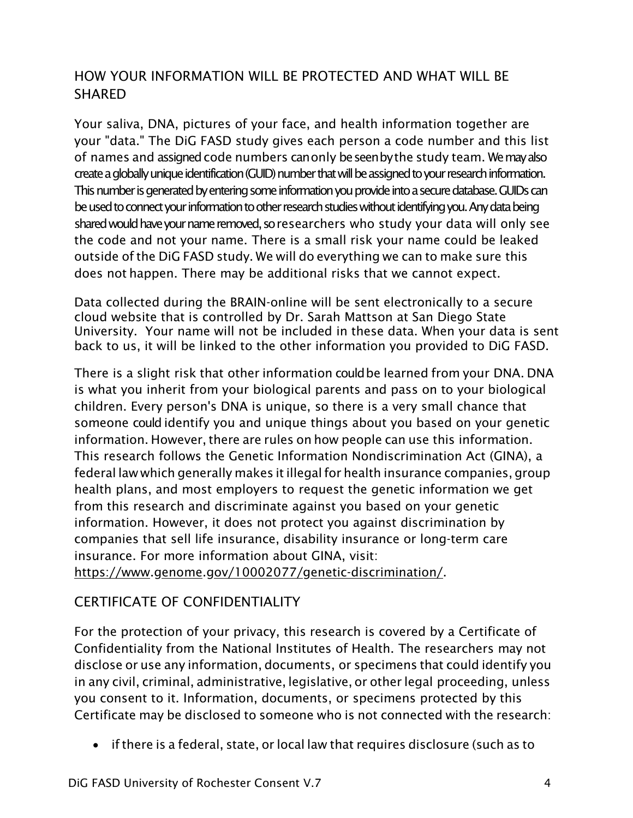#### HOW YOUR INFORMATION WILL BE PROTECTED AND WHAT WILL BE **SHARFD**

Your saliva, DNA, pictures of your face, and health information together are your "data." The DiG FASD study gives each person a code number and this list of names and assigned code numbers canonly beseenbythe study team. We may also create a globally unique identification (GUID) number that will be assigned to your research information. This number is generated by entering some information you provide into a secure database. GUIDs can be used to connect your information to other research studies without identifying you. Anydata being shared would have your name removed, so researchers who study your data will only see the code and not your name. There is a small risk your name could be leaked outside of the DiG FASD study. We will do everything we can to make sure this does not happen. There may be additional risks that we cannot expect.

Data collected during the BRAIN-online will be sent electronically to a secure cloud website that is controlled by Dr. Sarah Mattson at San Diego State University. Your name will not be included in these data. When your data is sent back to us, it will be linked to the other information you provided to DiG FASD.

There is a slight risk that other information couldbe learned from your DNA. DNA is what you inherit from your biological parents and pass on to your biological children. Every person's DNA is unique, so there is a very small chance that someone could identify you and unique things about you based on your genetic information. However, there are rules on how people can use this information. This research follows the Genetic Information Nondiscrimination Act (GINA), a federal law which generally makes itillegalfor health insurance companies, group health plans, and most employers to request the genetic information we get from this research and discriminate against you based on your genetic information. However, it does not protect you against discrimination by companies that sell life insurance, disability insurance or long-term care insurance. For more information about GINA, visit:

https:/[/www.genome.gov/10002077/genetic-discrimination/.](http://www.genome.gov/10002077/genetic-discrimination/)

### CERTIFICATE OF CONFIDENTIALITY

For the protection of your privacy, this research is covered by a Certificate of Confidentiality from the National Institutes of Health. The researchers may not disclose or use any information, documents, or specimens that could identify you in any civil, criminal, administrative, legislative, or other legal proceeding, unless you consent to it. Information, documents, or specimens protected by this Certificate may be disclosed to someone who is not connected with the research:

• ifthere is a federal, state, or local law that requires disclosure (such as to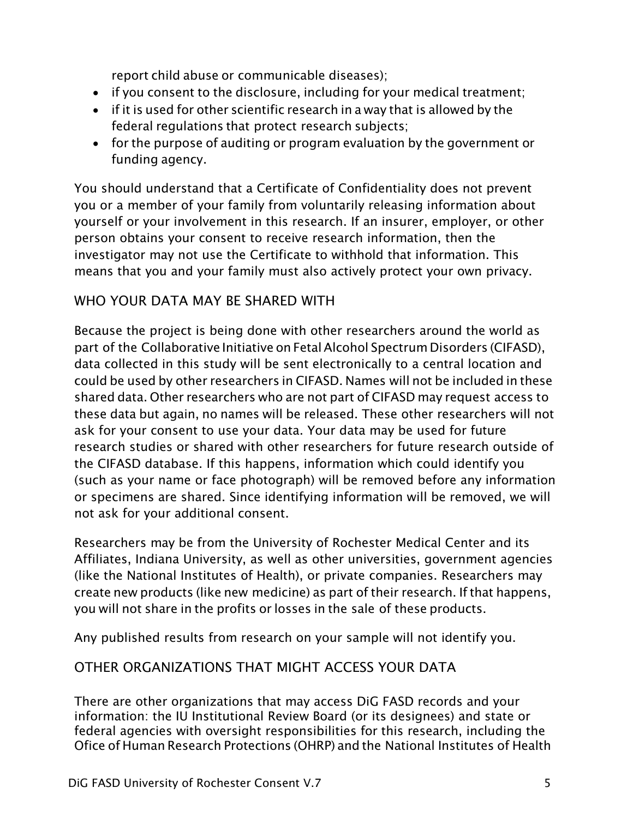report child abuse or communicable diseases);

- if you consent to the disclosure, including for your medical treatment;
- if it is used for other scientific research in a way that is allowed by the federal regulations that protect research subjects;
- for the purpose of auditing or program evaluation by the government or funding agency.

You should understand that a Certificate of Confidentiality does not prevent you or a member of your family from voluntarily releasing information about yourself or your involvement in this research. If an insurer, employer, or other person obtains your consent to receive research information, then the investigator may not use the Certificate to withhold that information. This means that you and your family must also actively protect your own privacy.

#### WHO YOUR DATA MAY BE SHARED WITH

Because the project is being done with other researchers around the world as part of the Collaborative Initiative on Fetal Alcohol Spectrum Disorders (CIFASD), data collected in this study will be sent electronically to a central location and could be used by other researchers in CIFASD. Names will not be included in these shared data. Other researchers who are not part of CIFASD may request access to these data but again, no names will be released. These other researchers will not ask for your consent to use your data. Your data may be used for future research studies or shared with other researchers for future research outside of the CIFASD database. If this happens, information which could identify you (such as your name or face photograph) will be removed before any information or specimens are shared. Since identifying information will be removed, we will not ask for your additional consent.

Researchers may be from the University of Rochester Medical Center and its Affiliates, Indiana University, as well as other universities, government agencies (like the National Institutes of Health), or private companies. Researchers may create new products (like new medicine) as part of their research. If that happens, you will not share in the profits or losses in the sale of these products.

Any published results from research on your sample will not identify you.

#### OTHER ORGANIZATIONS THAT MIGHT ACCESS YOUR DATA

There are other organizations that may access DiG FASD records and your information: the IU Institutional Review Board (or its designees) and state or federal agencies with oversight responsibilities for this research, including the Ofice of Human Research Protections (OHRP) and the National Institutes of Health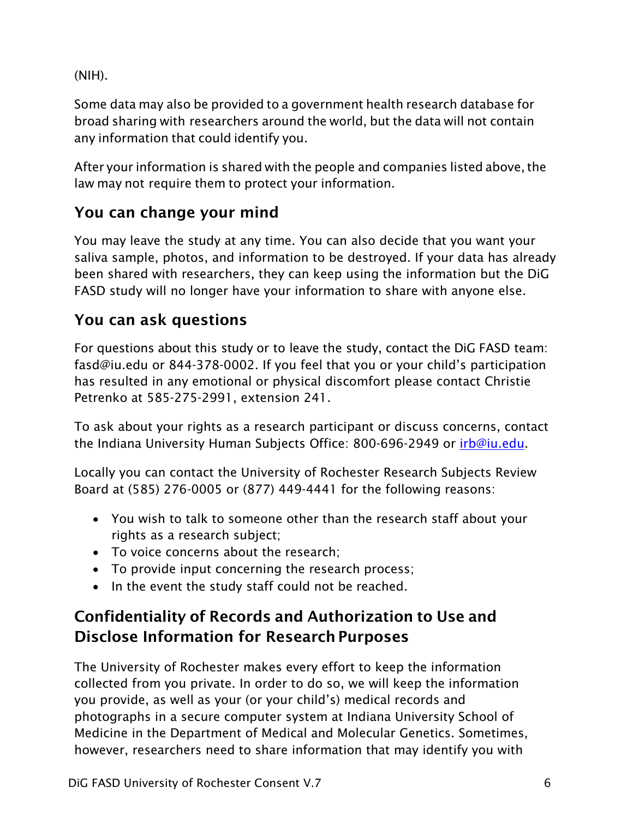(NIH).

Some data may also be provided to a government health research database for broad sharing with researchers around the world, but the data will not contain any information that could identify you.

After your information is shared with the people and companies listed above, the law may not require them to protect your information.

# You can change your mind

You may leave the study at any time. You can also decide that you want your saliva sample, photos, and information to be destroyed. If your data has already been shared with researchers, they can keep using the information but the DiG FASD study will no longer have your information to share with anyone else.

# You can ask questions

For questions about this study or to leave the study, contact the DiG FASD team: [fasd@iu.edu o](mailto:fasd@iu.edu)r 844-378-0002. If you feel that you or your child's participation has resulted in any emotional or physical discomfort please contact Christie Petrenko at 585-275-2991, extension 241.

To ask about your rights as a research participant or discuss concerns, contact the Indiana University Human Subjects Office: 800-696-2949 or [irb@iu.edu.](mailto:irb@iu.edu)

Locally you can contact the University of Rochester Research Subjects Review Board at (585) 276-0005 or (877) 449-4441 for the following reasons:

- You wish to talk to someone other than the research staff about your rights as a research subject;
- To voice concerns about the research;
- To provide input concerning the research process;
- In the event the study staff could not be reached.

# Confidentiality of Records and Authorization to Use and Disclose Information for Research Purposes

The University of Rochester makes every effort to keep the information collected from you private. In order to do so, we will keep the information you provide, as well as your (or your child's) medical records and photographs in a secure computer system at Indiana University School of Medicine in the Department of Medical and Molecular Genetics. Sometimes, however, researchers need to share information that may identify you with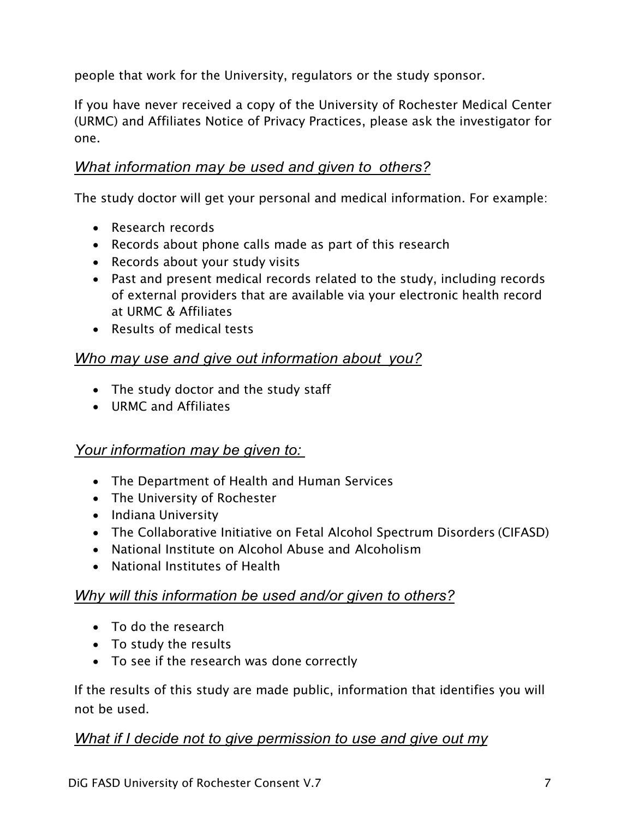people that work for the University, regulators or the study sponsor.

If you have never received a copy of the University of Rochester Medical Center (URMC) and Affiliates Notice of Privacy Practices, please ask the investigator for one.

#### *What information may be used and given to others?*

The study doctor will get your personal and medical information. For example:

- Research records
- Records about phone calls made as part of this research
- Records about your study visits
- Past and present medical records related to the study, including records of external providers that are available via your electronic health record at URMC & Affiliates
- Results of medical tests

#### *Who may use and give out information about you?*

- The study doctor and the study staff
- URMC and Affiliates

#### *Your information may be given to:*

- The Department of Health and Human Services
- The University of Rochester
- Indiana University
- The Collaborative Initiative on Fetal Alcohol Spectrum Disorders (CIFASD)
- National Institute on Alcohol Abuse and Alcoholism
- National Institutes of Health

#### *Why will this information be used and/or given to others?*

- To do the research
- To study the results
- To see if the research was done correctly

If the results of this study are made public, information that identifies you will not be used.

#### *What if I decide not to give permission to use and give out my*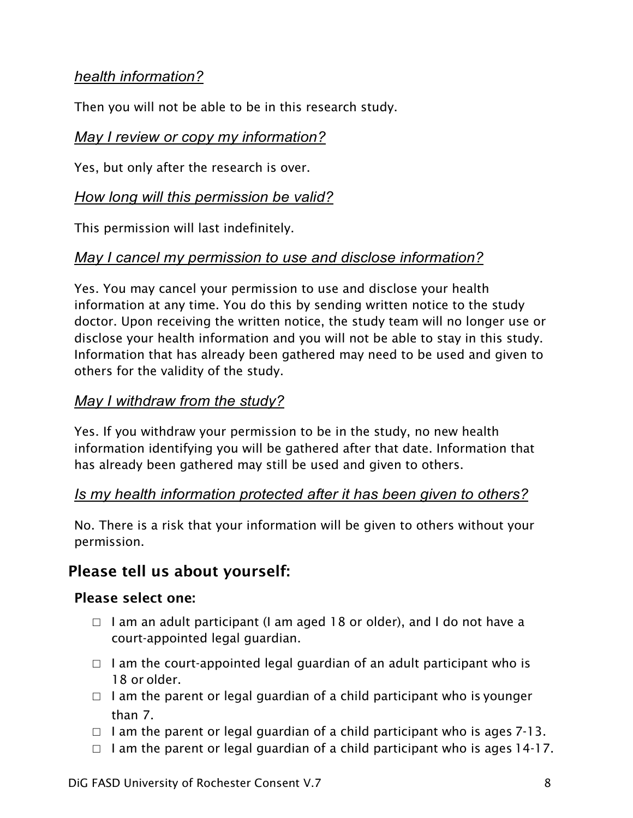#### *health information?*

Then you will not be able to be in this research study.

#### *May I review or copy my information?*

Yes, but only after the research is over.

#### *How long will this permission be valid?*

This permission will last indefinitely.

### *May I cancel my permission to use and disclose information?*

Yes. You may cancel your permission to use and disclose your health information at any time. You do this by sending written notice to the study doctor. Upon receiving the written notice, the study team will no longer use or disclose your health information and you will not be able to stay in this study. Information that has already been gathered may need to be used and given to others for the validity of the study.

#### *May I withdraw from the study?*

Yes. If you withdraw your permission to be in the study, no new health information identifying you will be gathered after that date. Information that has already been gathered may still be used and given to others.

#### *Is my health information protected after it has been given to others?*

No. There is a risk that your information will be given to others without your permission.

### Please tell us about yourself:

#### Please select one:

- $\Box$  I am an adult participant (I am aged 18 or older), and I do not have a court-appointed legal guardian.
- $\Box$  I am the court-appointed legal guardian of an adult participant who is 18 or older.
- $\Box$  I am the parent or legal guardian of a child participant who is younger than 7.
- $\Box$  I am the parent or legal guardian of a child participant who is ages 7-13.
- $\Box$  I am the parent or legal guardian of a child participant who is ages 14-17.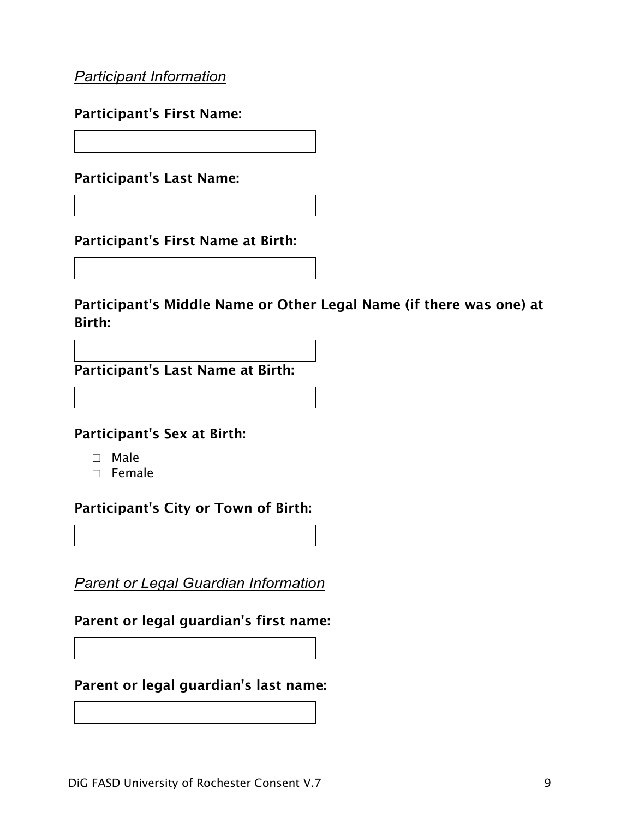*Participant Information*

Participant's First Name:

Participant's Last Name:

Participant's First Name at Birth:

Participant's Middle Name or Other Legal Name (if there was one) at Birth:

Participant's Last Name at Birth:

Participant's Sex at Birth:

- □ Male
- □ Female

Participant's City or Town of Birth:

*Parent or Legal Guardian Information*

Parent or legal guardian's first name:

Parent or legal guardian's last name: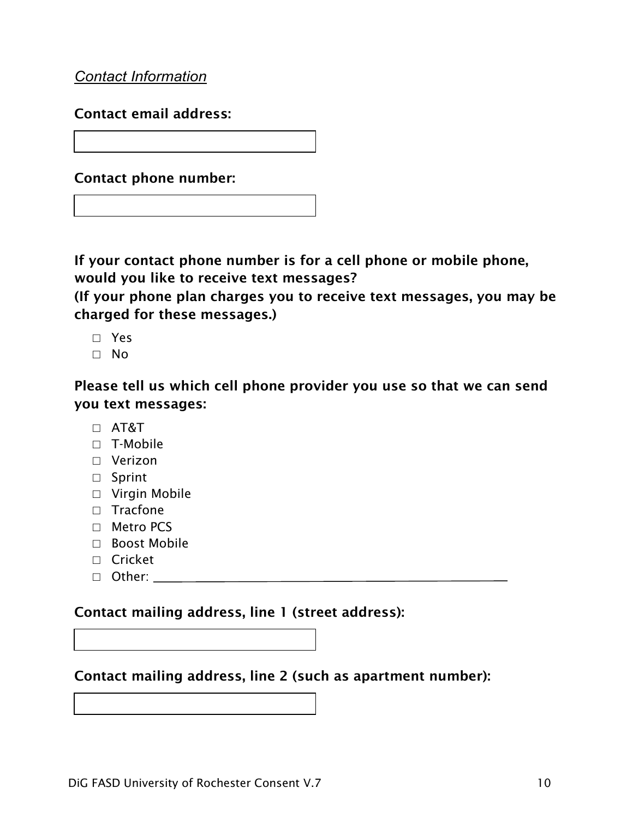*Contact Information*

Contact email address:

Contact phone number:

If your contact phone number is for a cell phone or mobile phone, would you like to receive text messages?

(If your phone plan charges you to receive text messages, you may be charged for these messages.)

- □ Yes
- □ No

Please tell us which cell phone provider you use so that we can send you text messages:

- □ AT&T
- □ T-Mobile
- □ Verizon
- □ Sprint
- □ Virgin Mobile
- □ Tracfone
- □ Metro PCS
- $\Box$  Boost Mobile
- □ Cricket
- □ Other:

#### Contact mailing address, line 1 (street address):

#### Contact mailing address, line 2 (such as apartment number):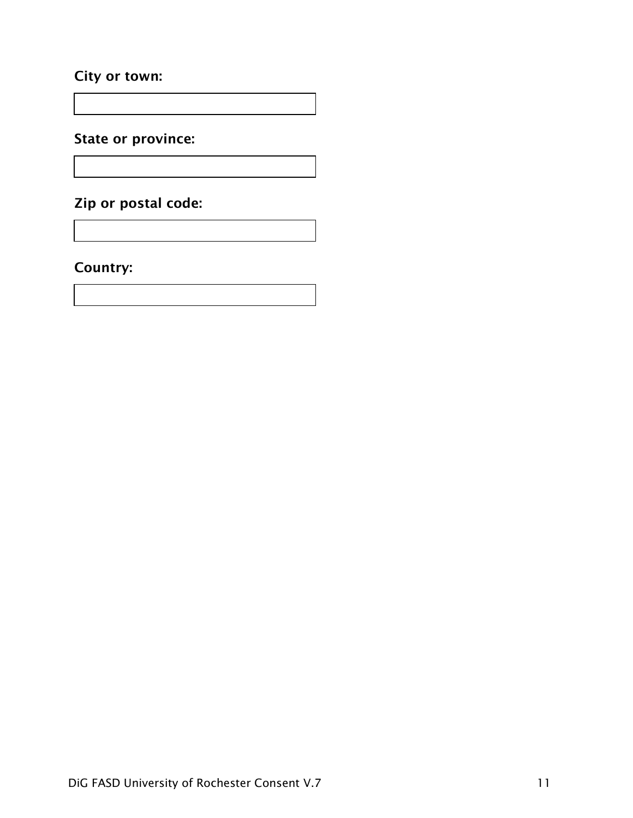#### City or town:

State or province:

Zip or postal code:

Country: